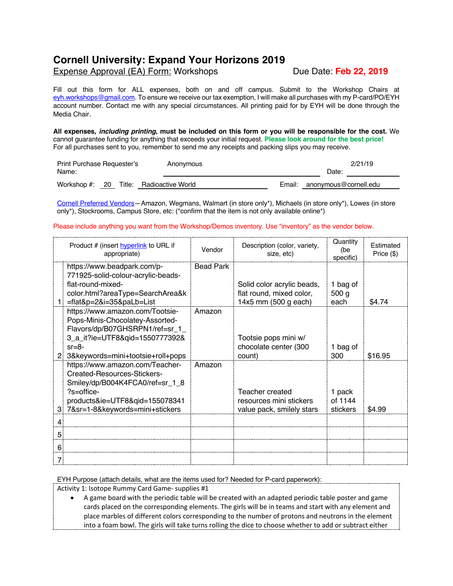## **Cornell University: Expand Your Horizons 2019**

## Expense Approval (EA) Form: Workshops Due Date: **Feb 22, 2019**

Fill out this form for ALL expenses, both on and off campus. Submit to the Workshop Chairs at eyh.workshops@gmail.com. To ensure we receive our tax exemption, I will make all purchases with my P-card/PO/EYH account number. Contact me with any special circumstances. All printing paid for by EYH will be done through the Media Chair.

**All expenses,** *including printing***, must be included on this form or you will be responsible for the cost.** We cannot guarantee funding for anything that exceeds your initial request. **Please look around for the best price!** For all purchases sent to you, remember to send me any receipts and packing slips you may receive.

| Print Purchase Requester's<br>Name: |        | Anonymous         | 2/21/19<br>Date: |                       |  |
|-------------------------------------|--------|-------------------|------------------|-----------------------|--|
| Workshop $#$ : 20                   | Title: | Radioactive World | Email:           | anonymous@cornell.edu |  |

Cornell Preferred Vendors—Amazon, Wegmans, Walmart (in store only\*), Michaels (in store only\*), Lowes (in store only\*), Stockrooms, Campus Store, etc: (\*confirm that the item is not only available online\*)

## Please include anything you want from the Workshop/Demos inventory. Use "inventory" as the vendor below.

|   | Product # (insert hyperlink to URL if<br>appropriate)                                                                                                                                     | Vendor           | Description (color, variety,<br>size, etc)                                     | Quantity<br>(be<br>specific)         | Estimated<br>Price (\$) |
|---|-------------------------------------------------------------------------------------------------------------------------------------------------------------------------------------------|------------------|--------------------------------------------------------------------------------|--------------------------------------|-------------------------|
|   | https://www.beadpark.com/p-<br>771925-solid-colour-acrylic-beads-<br>flat-round-mixed-<br>color.html?areaType=SearchArea&k<br>=flat&p=2&i=35&paLb=List                                    | <b>Bead Park</b> | Solid color acrylic beads,<br>flat round, mixed color,<br>14x5 mm (500 g each) | 1 bag of<br>500 <sub>g</sub><br>each | \$4.74                  |
|   | https://www.amazon.com/Tootsie-<br>Pops-Minis-Chocolatey-Assorted-<br>Flavors/dp/B07GHSRPN1/ref=sr_1_<br>3_a_it?ie=UTF8&qid=1550777392&<br>$sr = 8-$<br>3&keywords=mini+tootsie+roll+pops | Amazon           | Tootsie pops mini w/<br>chocolate center (300<br>count)                        | 1 bag of<br>300                      | \$16.95                 |
| 3 | https://www.amazon.com/Teacher-<br>Created-Resources-Stickers-<br>Smiley/dp/B004K4FCA0/ref=sr_1_8<br>$?$ s=office-<br>products&ie=UTF8&qid=155078341<br>7&sr=1-8&keywords=mini+stickers   | Amazon           | Teacher created<br>resources mini stickers<br>value pack, smilely stars        | 1 pack<br>of 1144<br>stickers        | \$4.99                  |
|   |                                                                                                                                                                                           |                  |                                                                                |                                      |                         |
| 5 |                                                                                                                                                                                           |                  |                                                                                |                                      |                         |
| 6 |                                                                                                                                                                                           |                  |                                                                                |                                      |                         |

EYH Purpose (attach details, what are the items used for? Needed for P-card paperwork):

Activity 1: Isotope Rummy Card Game- supplies #1

• A game board with the periodic table will be created with an adapted periodic table poster and game cards placed on the corresponding elements. The girls will be in teams and start with any element and place marbles of different colors corresponding to the number of protons and neutrons in the element into a foam bowl. The girls will take turns rolling the dice to choose whether to add or subtract either